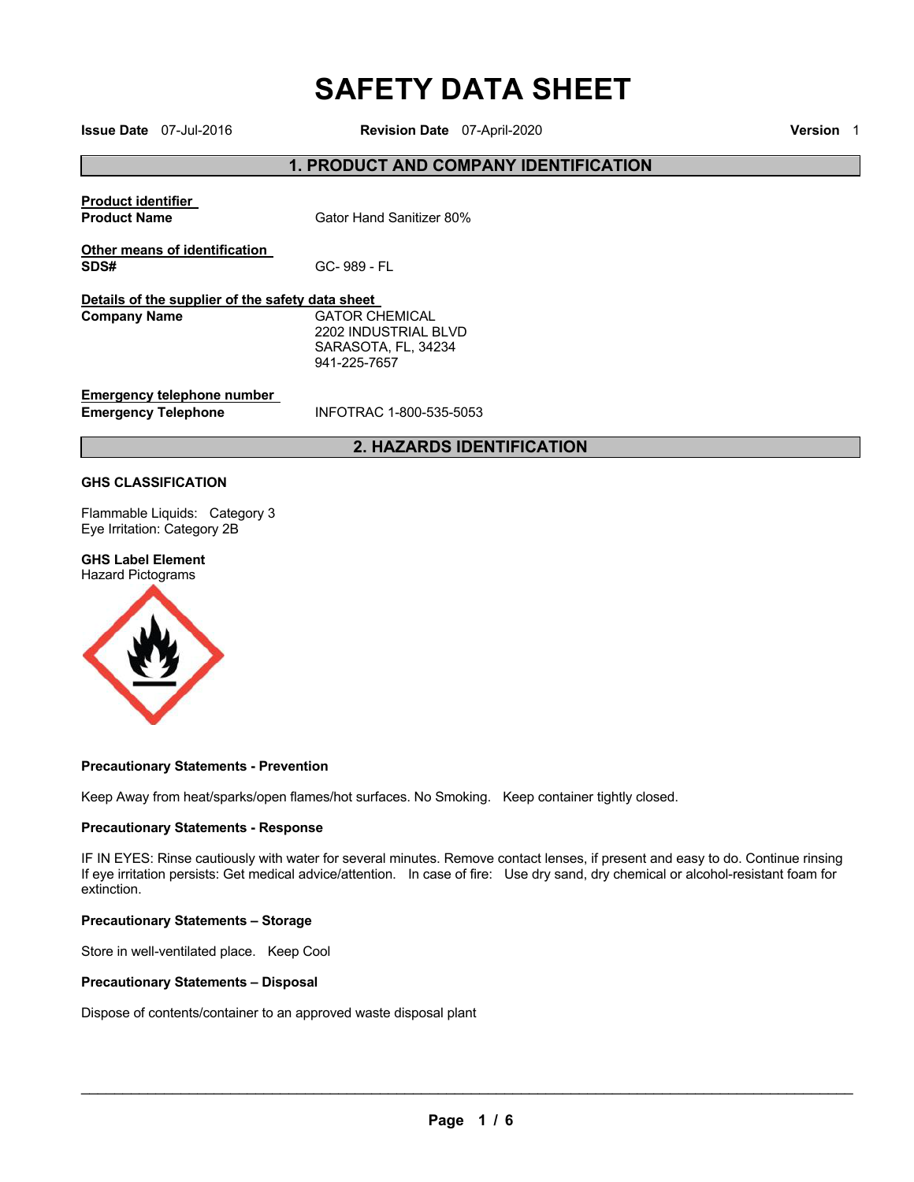# **SAFETY DATA SHEET Issue Date** 07-Jul-2016 **Revision Date** 07-April-2020 **Version** <sup>1</sup>

## **1. PRODUCT AND COMPANY IDENTIFICATION**

|                                                                         | <b>2. HAZARDS IDENTIFICATION</b>                                                     |
|-------------------------------------------------------------------------|--------------------------------------------------------------------------------------|
| Emergency telephone number<br><b>Emergency Telephone</b>                | INFOTRAC 1-800-535-5053                                                              |
| Details of the supplier of the safety data sheet<br><b>Company Name</b> | <b>GATOR CHEMICAL</b><br>2202 INDUSTRIAL BLVD<br>SARASOTA, FL, 34234<br>941-225-7657 |
| SDS#                                                                    | GC-989 - FL                                                                          |
| Other means of identification                                           |                                                                                      |
| <b>Product identifier</b><br><b>Product Name</b>                        | Gator Hand Sanitizer 80%                                                             |
|                                                                         |                                                                                      |

#### **GHS CLASSIFICATION**

Flammable Liquids: Category 3 Eye Irritation: Category 2B

#### **GHS Label Element**

Hazard Pictograms



#### **Precautionary Statements - Prevention**

Keep Away from heat/sparks/open flames/hot surfaces. No Smoking. Keep container tightly closed.

#### **Precautionary Statements - Response**

IF IN EYES: Rinse cautiously with water for several minutes. Remove contact lenses, if present and easy to do. Continue rinsing If eye irritation persists: Get medical advice/attention. In case of fire: Use dry sand, dry chemical or alcohol-resistant foam for extinction.

#### **Precautionary Statements – Storage**

Store in well-ventilated place. Keep Cool

#### **Precautionary Statements – Disposal**

Dispose of contents/container to an approved waste disposal plant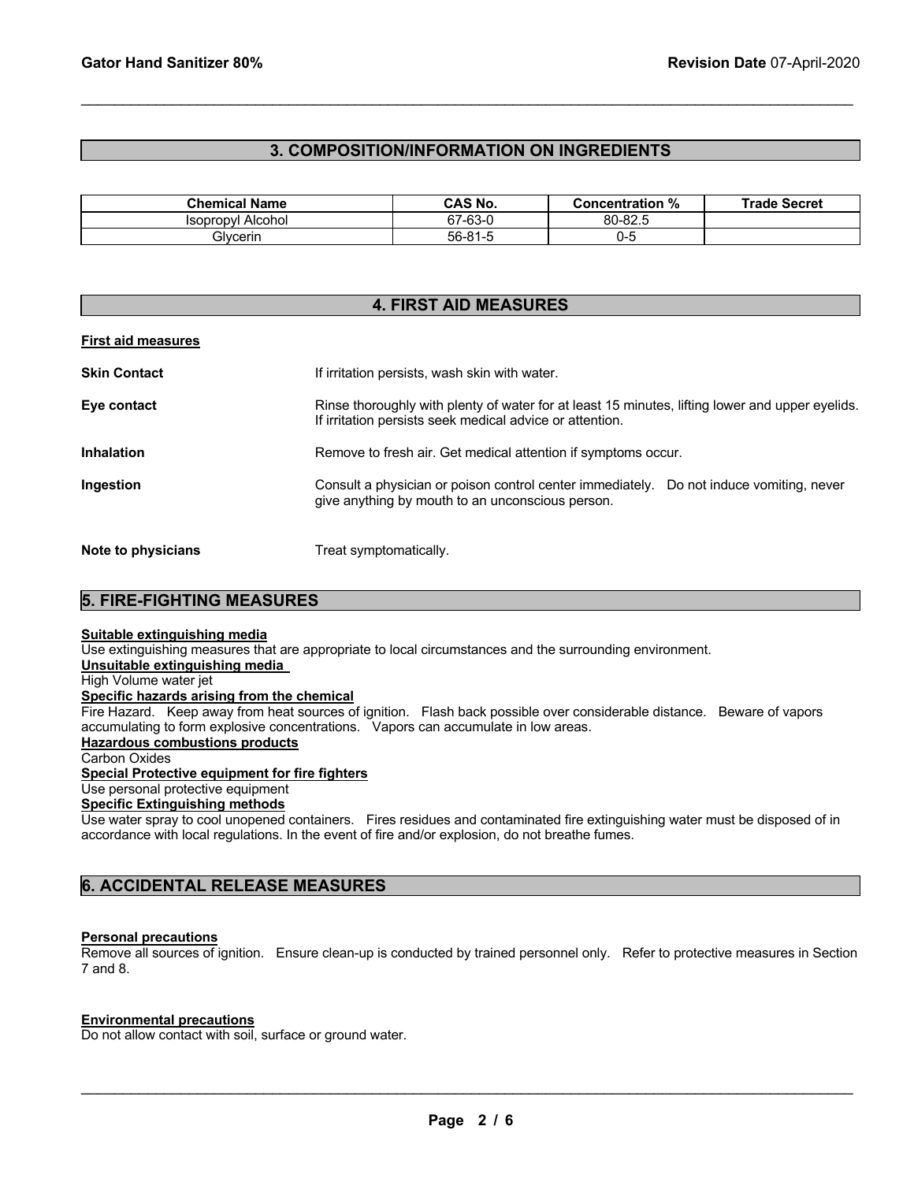## **3. COMPOSITION/INFORMATION ON INGREDIENTS**

 $\mathcal{L}_\mathcal{L} = \mathcal{L}_\mathcal{L} = \mathcal{L}_\mathcal{L} = \mathcal{L}_\mathcal{L} = \mathcal{L}_\mathcal{L} = \mathcal{L}_\mathcal{L} = \mathcal{L}_\mathcal{L} = \mathcal{L}_\mathcal{L} = \mathcal{L}_\mathcal{L} = \mathcal{L}_\mathcal{L} = \mathcal{L}_\mathcal{L} = \mathcal{L}_\mathcal{L} = \mathcal{L}_\mathcal{L} = \mathcal{L}_\mathcal{L} = \mathcal{L}_\mathcal{L} = \mathcal{L}_\mathcal{L} = \mathcal{L}_\mathcal{L}$ 

| <b>Chemical Name</b>     | <b>CAS No.</b> | <b>Concentration %</b> | <b>Trade Secret</b> |
|--------------------------|----------------|------------------------|---------------------|
| <b>Isopropyl Alcohol</b> | 67-63-0        | 80-82.5                |                     |
| Glvcerin                 | 56-81-5        | ບ-ວ                    |                     |

| <b>4. FIRST AID MEASURES</b> |                                                                                                                                                             |  |  |
|------------------------------|-------------------------------------------------------------------------------------------------------------------------------------------------------------|--|--|
| <b>First aid measures</b>    |                                                                                                                                                             |  |  |
| <b>Skin Contact</b>          | If irritation persists, wash skin with water.                                                                                                               |  |  |
| Eye contact                  | Rinse thoroughly with plenty of water for at least 15 minutes, lifting lower and upper eyelids.<br>If irritation persists seek medical advice or attention. |  |  |
| <b>Inhalation</b>            | Remove to fresh air. Get medical attention if symptoms occur.                                                                                               |  |  |
| Ingestion                    | Consult a physician or poison control center immediately.<br>Do not induce vomiting, never<br>give anything by mouth to an unconscious person.              |  |  |
| Note to physicians           | Treat symptomatically.                                                                                                                                      |  |  |

## **5. FIRE-FIGHTING MEASURES**

#### **Suitable extinguishing media**

Use extinguishing measures that are appropriate to local circumstances and the surrounding environment.

## **Unsuitable extinguishing media**

# High Volume water jet

**Specific hazards arising from the chemical**

Fire Hazard. Keep away from heat sources of ignition. Flash back possible over considerable distance. Beware of vapors accumulating to form explosive concentrations. Vapors can accumulate in low areas.

### **Hazardous combustions products**

Carbon Oxides

**Special Protective equipment for fire fighters**

# Use personal protective equipment

**Specific Extinguishing methods**

Use water spray to cool unopened containers. Fires residues and contaminated fire extinguishing water must be disposed of in accordance with local regulations. In the event of fire and/or explosion, do not breathe fumes.

## **6. ACCIDENTAL RELEASE MEASURES**

#### **Personal precautions**

Remove all sources of ignition. Ensure clean-up is conducted by trained personnel only. Refer to protective measures in Section 7 and 8.

#### **Environmental precautions**

Do not allow contact with soil, surface or ground water.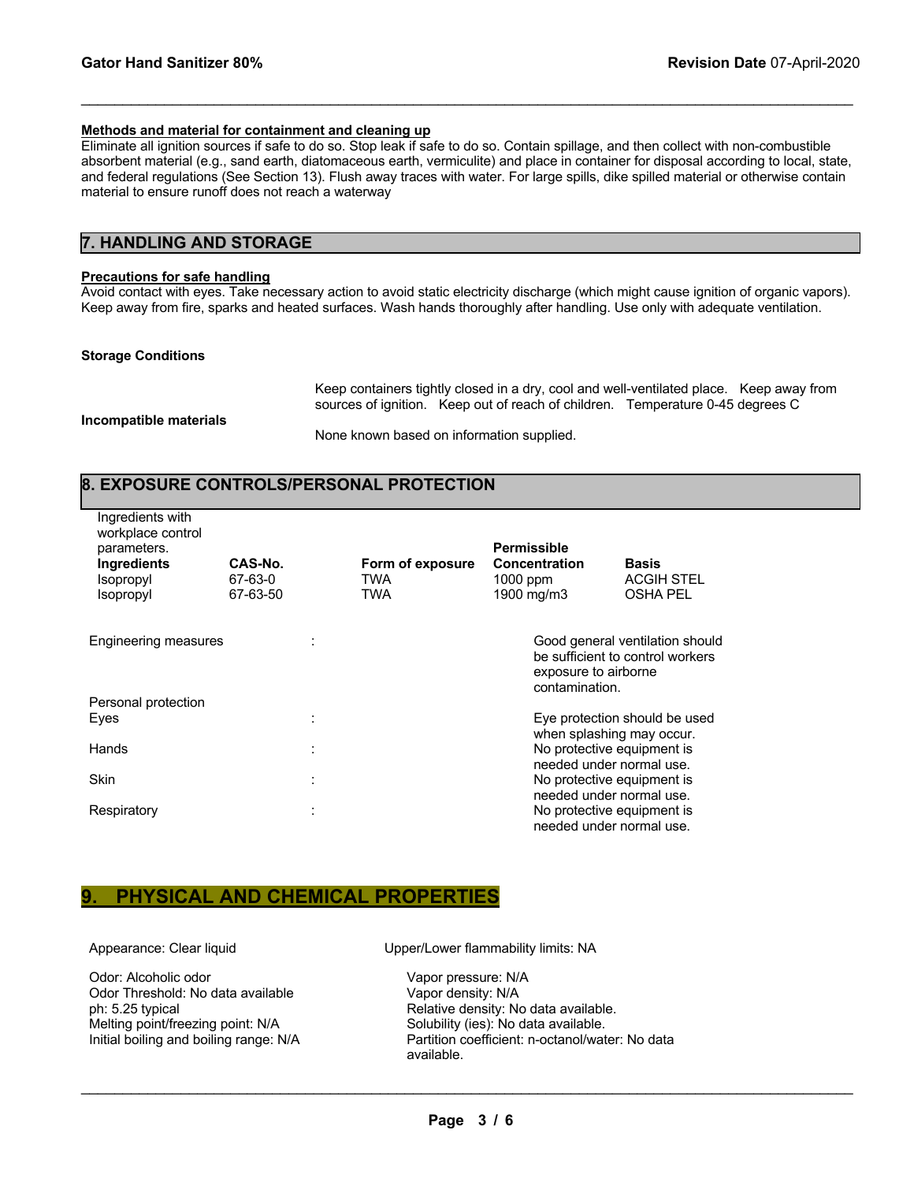#### **Methods and material for containment and cleaning up**

Eliminate all ignition sources if safe to do so. Stop leak if safe to do so. Contain spillage, and then collect with non-combustible absorbent material (e.g., sand earth, diatomaceous earth, vermiculite) and place in container for disposal according to local, state, and federal regulations (See Section 13). Flush away traces with water. For large spills, dike spilled material or otherwise contain material to ensure runoff does not reach a waterway

 $\mathcal{L}_\mathcal{L} = \mathcal{L}_\mathcal{L} = \mathcal{L}_\mathcal{L} = \mathcal{L}_\mathcal{L} = \mathcal{L}_\mathcal{L} = \mathcal{L}_\mathcal{L} = \mathcal{L}_\mathcal{L} = \mathcal{L}_\mathcal{L} = \mathcal{L}_\mathcal{L} = \mathcal{L}_\mathcal{L} = \mathcal{L}_\mathcal{L} = \mathcal{L}_\mathcal{L} = \mathcal{L}_\mathcal{L} = \mathcal{L}_\mathcal{L} = \mathcal{L}_\mathcal{L} = \mathcal{L}_\mathcal{L} = \mathcal{L}_\mathcal{L}$ 

## **7. HANDLING AND STORAGE**

#### **Precautions for safe handling**

Avoid contact with eyes. Take necessary action to avoid static electricity discharge (which might cause ignition of organic vapors). Keep away from fire, sparks and heated surfaces. Wash hands thoroughly after handling. Use only with adequate ventilation.

#### **Storage Conditions**

Keep containers tightly closed in a dry, cool and well-ventilated place. Keep away from sources of ignition. Keep out of reach of children. Temperature 0-45 degrees C

**Incompatible materials** 

None known based on information supplied.

## **8. EXPOSURE CONTROLS/PERSONAL PROTECTION**

| Ingredients with<br>workplace control<br>parameters.<br><b>Ingredients</b><br>Isopropyl<br>Isopropyl | CAS-No.<br>67-63-0<br>67-63-50 |                     | Form of exposure<br>TWA<br>TWA | <b>Permissible</b><br><b>Concentration</b><br>$1000$ ppm<br>1900 mg/m3 | <b>Basis</b><br><b>ACGIH STEL</b><br><b>OSHA PEL</b>                                |
|------------------------------------------------------------------------------------------------------|--------------------------------|---------------------|--------------------------------|------------------------------------------------------------------------|-------------------------------------------------------------------------------------|
| Engineering measures                                                                                 |                                |                     |                                | exposure to airborne<br>contamination.                                 | Good general ventilation should<br>be sufficient to control workers                 |
| Personal protection<br>Eyes                                                                          |                                |                     |                                |                                                                        | Eye protection should be used                                                       |
| Hands                                                                                                |                                | ÷                   |                                |                                                                        | when splashing may occur.<br>No protective equipment is<br>needed under normal use. |
| <b>Skin</b>                                                                                          |                                | ٠<br>$\blacksquare$ |                                |                                                                        | No protective equipment is<br>needed under normal use.                              |
| Respiratory                                                                                          |                                | ٠<br>$\mathbf{r}$   |                                |                                                                        | No protective equipment is<br>needed under normal use.                              |

## **9. PHYSICAL AND CHEMICAL PROPERTIES**

Odor: Alcoholic odor<br>
Odor Threshold: No data available Vapor density: N/A Odor Threshold: No data available<br>ph: 5.25 typical Melting point/freezing point: N/A Solubility (ies): No data available.

Appearance: Clear liquid **All in the Upper-Lower flammability limits: NA** 

Relative density: No data available. Initial boiling and boiling range: N/A Partition coefficient: n-octanol/water: No data available.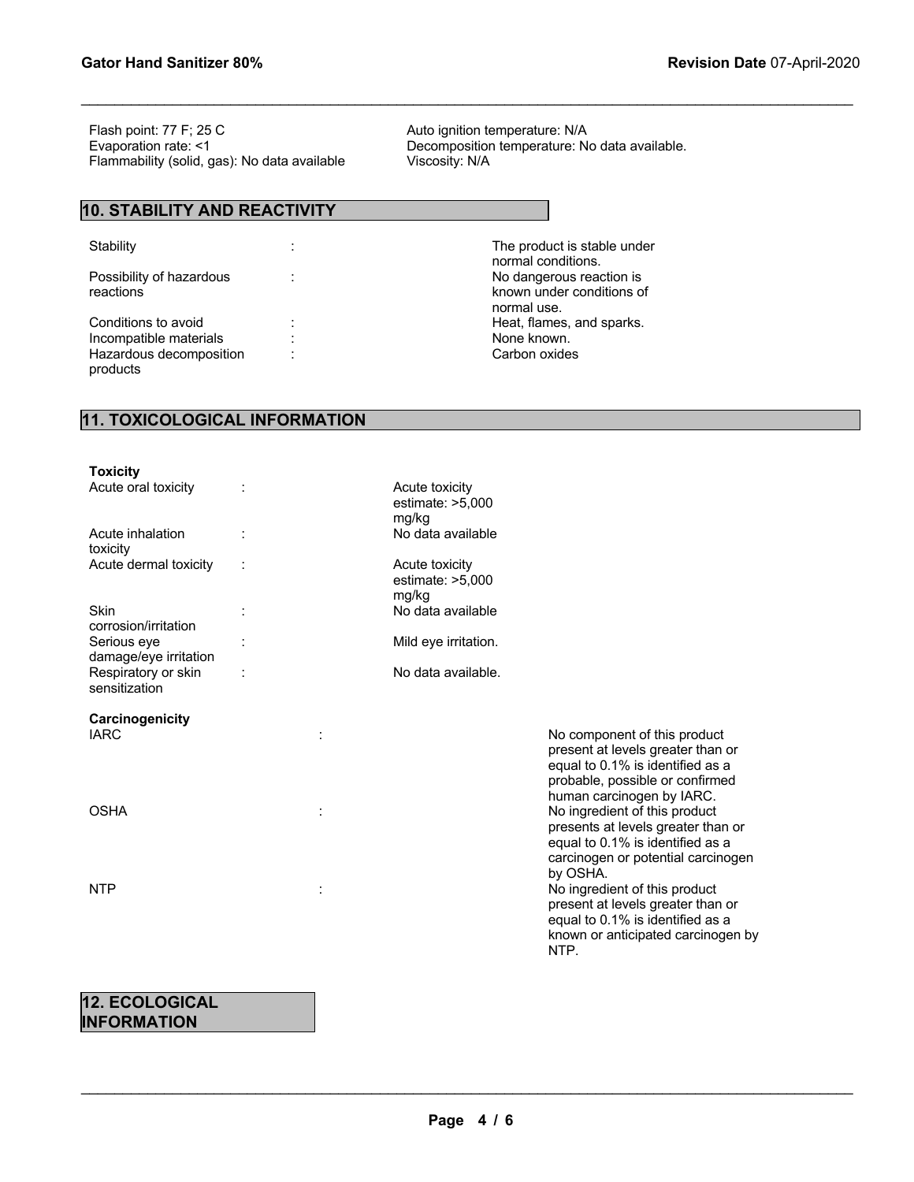Flash point: 77 F; 25 C<br>
Evaporation rate: <1 Contract Contract Composition temperature: N<br>
Decomposition temperature: N Flammability (solid, gas): No data available

## **10. STABILITY AND REACTIVITY**

Possibility of hazardous reactions

Incompatible materials : Hazardous decomposition products

Decomposition temperature: No data available.<br>Viscosity: N/A

 $\mathcal{L}_\mathcal{L} = \mathcal{L}_\mathcal{L} = \mathcal{L}_\mathcal{L} = \mathcal{L}_\mathcal{L} = \mathcal{L}_\mathcal{L} = \mathcal{L}_\mathcal{L} = \mathcal{L}_\mathcal{L} = \mathcal{L}_\mathcal{L} = \mathcal{L}_\mathcal{L} = \mathcal{L}_\mathcal{L} = \mathcal{L}_\mathcal{L} = \mathcal{L}_\mathcal{L} = \mathcal{L}_\mathcal{L} = \mathcal{L}_\mathcal{L} = \mathcal{L}_\mathcal{L} = \mathcal{L}_\mathcal{L} = \mathcal{L}_\mathcal{L}$ 

Stability **Stability** : The product is stable under normal conditions. : No dangerous reaction is known under conditions of normal use. Conditions to avoid : The conditions to avoid in the conditions to avoid in the conditions of the conditions of the conditions of the conditions of the conditions of the conditions of the conditions of the conditions of th : Carbon oxides

## **11. TOXICOLOGICAL INFORMATION**

| <b>Toxicity</b>                      |                                               |                                                                                                                                                                       |
|--------------------------------------|-----------------------------------------------|-----------------------------------------------------------------------------------------------------------------------------------------------------------------------|
| Acute oral toxicity                  | Acute toxicity<br>estimate: $>5,000$<br>mg/kg |                                                                                                                                                                       |
| Acute inhalation<br>toxicity         | No data available                             |                                                                                                                                                                       |
| Acute dermal toxicity                | Acute toxicity<br>estimate: $>5,000$<br>mg/kg |                                                                                                                                                                       |
| Skin<br>corrosion/irritation         | No data available                             |                                                                                                                                                                       |
| Serious eye<br>damage/eye irritation | Mild eye irritation.                          |                                                                                                                                                                       |
| Respiratory or skin<br>sensitization | No data available.                            |                                                                                                                                                                       |
| Carcinogenicity<br><b>IARC</b>       |                                               | No component of this product<br>present at levels greater than or<br>equal to 0.1% is identified as a<br>probable, possible or confirmed<br>human carcinogen by IARC. |
| <b>OSHA</b>                          |                                               | No ingredient of this product<br>presents at levels greater than or<br>equal to 0.1% is identified as a<br>carcinogen or potential carcinogen<br>by OSHA.             |
| <b>NTP</b>                           |                                               | No ingredient of this product<br>present at levels greater than or<br>equal to 0.1% is identified as a<br>known or anticipated carcinogen by<br>NTP.                  |

## **12. ECOLOGICAL INFORMATION**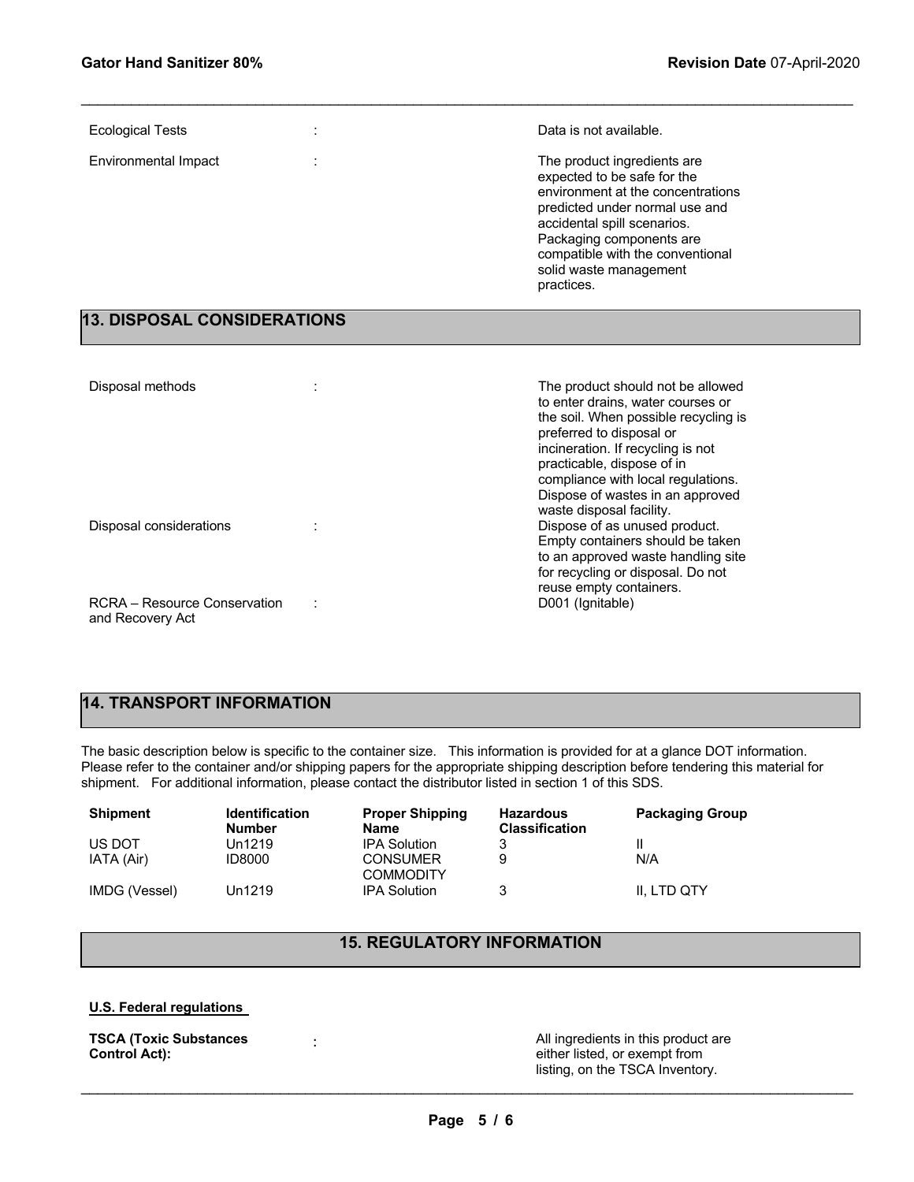| <b>Ecological Tests</b> | Data is not available.                                                                                                                                                                                                                                                   |
|-------------------------|--------------------------------------------------------------------------------------------------------------------------------------------------------------------------------------------------------------------------------------------------------------------------|
| Environmental Impact    | The product ingredients are<br>expected to be safe for the<br>environment at the concentrations<br>predicted under normal use and<br>accidental spill scenarios.<br>Packaging components are<br>compatible with the conventional<br>solid waste management<br>practices. |

 $\mathcal{L}_\mathcal{L} = \mathcal{L}_\mathcal{L} = \mathcal{L}_\mathcal{L} = \mathcal{L}_\mathcal{L} = \mathcal{L}_\mathcal{L} = \mathcal{L}_\mathcal{L} = \mathcal{L}_\mathcal{L} = \mathcal{L}_\mathcal{L} = \mathcal{L}_\mathcal{L} = \mathcal{L}_\mathcal{L} = \mathcal{L}_\mathcal{L} = \mathcal{L}_\mathcal{L} = \mathcal{L}_\mathcal{L} = \mathcal{L}_\mathcal{L} = \mathcal{L}_\mathcal{L} = \mathcal{L}_\mathcal{L} = \mathcal{L}_\mathcal{L}$ 

## **13. DISPOSAL CONSIDERATIONS**

| Disposal methods                                 | The product should not be allowed<br>to enter drains, water courses or<br>the soil. When possible recycling is<br>preferred to disposal or<br>incineration. If recycling is not<br>practicable, dispose of in<br>compliance with local regulations. |
|--------------------------------------------------|-----------------------------------------------------------------------------------------------------------------------------------------------------------------------------------------------------------------------------------------------------|
| Disposal considerations                          | Dispose of wastes in an approved<br>waste disposal facility.<br>Dispose of as unused product.<br>Empty containers should be taken<br>to an approved waste handling site<br>for recycling or disposal. Do not<br>reuse empty containers.             |
| RCRA - Resource Conservation<br>and Recovery Act | D001 (Ignitable)                                                                                                                                                                                                                                    |

# **14. TRANSPORT INFORMATION**

The basic description below is specific to the container size. This information is provided for at a glance DOT information. Please refer to the container and/or shipping papers for the appropriate shipping description before tendering this material for shipment. For additional information, please contact the distributor listed in section 1 of this SDS.

| <b>Shipment</b> | <b>Identification</b><br><b>Number</b> | <b>Proper Shipping</b><br><b>Name</b> | <b>Hazardous</b><br><b>Classification</b> | <b>Packaging Group</b> |
|-----------------|----------------------------------------|---------------------------------------|-------------------------------------------|------------------------|
| US DOT          | Un1219                                 | <b>IPA Solution</b>                   | 3                                         |                        |
| IATA (Air)      | <b>ID8000</b>                          | <b>CONSUMER</b>                       | 9                                         | N/A                    |
|                 |                                        | <b>COMMODITY</b>                      |                                           |                        |
| IMDG (Vessel)   | Un1219                                 | <b>IPA Solution</b>                   | 3                                         | II. LTD QTY            |

# **15. REGULATORY INFORMATION**

## **U.S. Federal regulations**

| <b>TSCA (Toxic Substances</b> |  |
|-------------------------------|--|
| Control Act):                 |  |

: All ingredients in this product are either listed, or exempt from listing, on the TSCA Inventory.